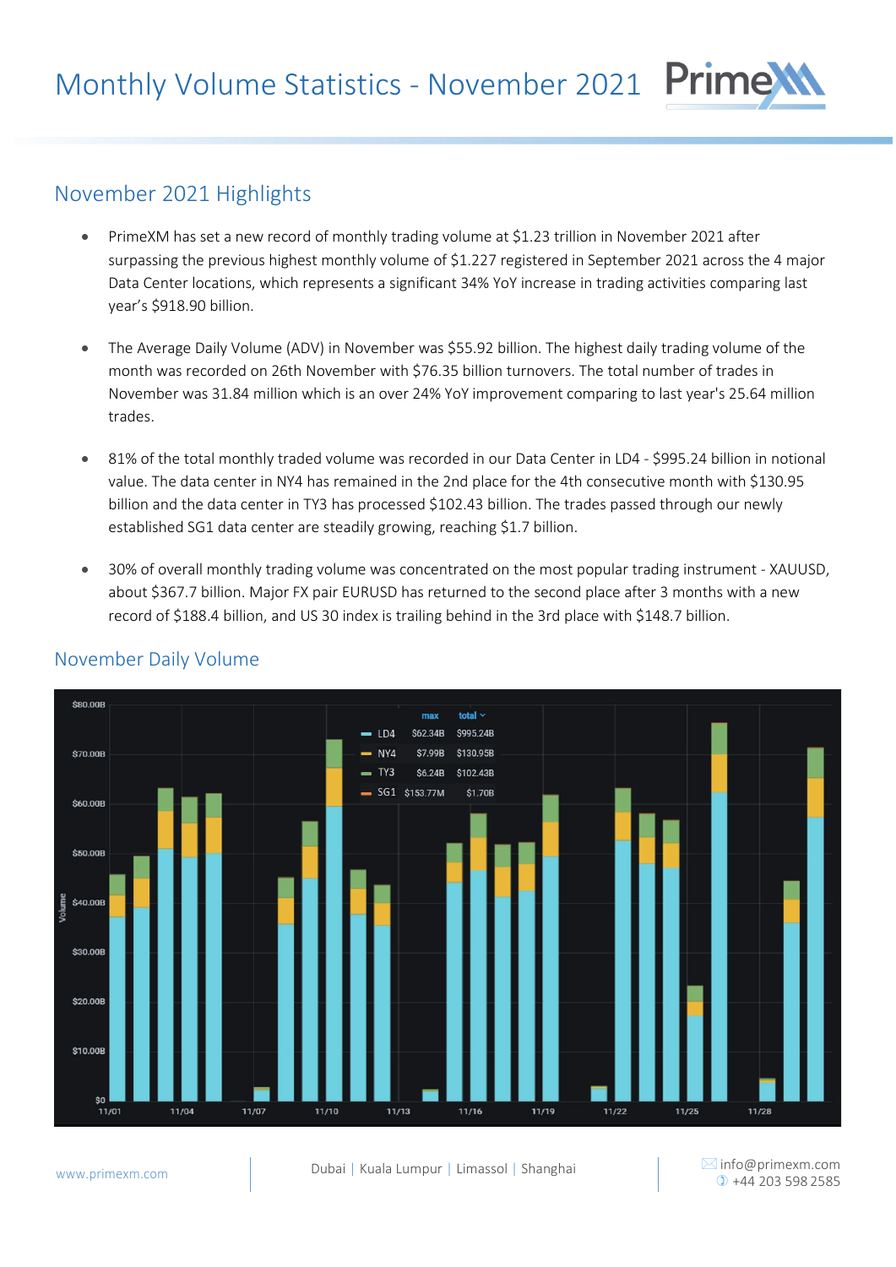# November 2021 Highlights

- PrimeXM has set a new record of monthly trading volume at \$1.23 trillion in November 2021 after surpassing the previous highest monthly volume of \$1.227 registered in September 2021 across the 4 major Data Center locations, which represents a significant 34% YoY increase in trading activities comparing last year's \$918.90 billion.
- The Average Daily Volume (ADV) in November was \$55.92 billion. The highest daily trading volume of the month was recorded on 26th November with \$76.35 billion turnovers. The total number of trades in November was 31.84 million which is an over 24% YoY improvement comparing to last year's 25.64 million trades.
- 81% of the total monthly traded volume was recorded in our Data Center in LD4 \$995.24 billion in notional value. The data center in NY4 has remained in the 2nd place for the 4th consecutive month with \$130.95 billion and the data center in TY3 has processed \$102.43 billion. The trades passed through our newly established SG1 data center are steadily growing, reaching \$1.7 billion.
- 30% of overall monthly trading volume was concentrated on the most popular trading instrument XAUUSD, about \$367.7 billion. Major FX pair EURUSD has returned to the second place after 3 months with a new record of \$188.4 billion, and US 30 index is trailing behind in the 3rd place with \$148.7 billion.



#### November Daily Volume

 $\boxtimes$  [info@primexm.com](mailto:info@primexm.com)

Prime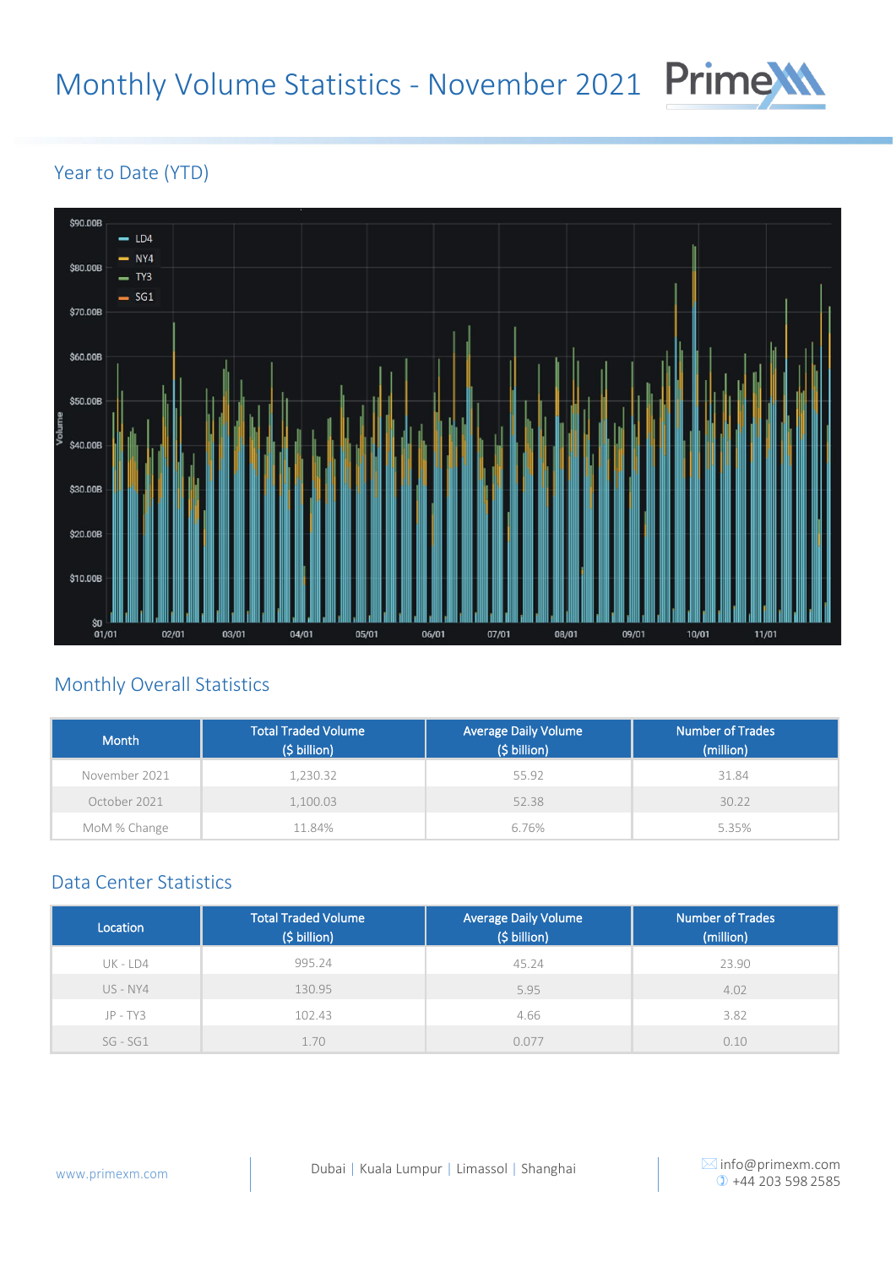## Monthly Volume Statistics - November 2021

# Prime

#### Year to Date (YTD)



### Monthly Overall Statistics

| Month         | <b>Total Traded Volume</b><br>$(5 billion)$ | <b>Average Daily Volume</b><br>(\$ billion) <sup>1</sup> | <b>Number of Trades</b><br>(million) |
|---------------|---------------------------------------------|----------------------------------------------------------|--------------------------------------|
| November 2021 | 1,230.32                                    | 55.92                                                    | 31.84                                |
| October 2021  | 1,100.03                                    | 52.38                                                    | 30.22                                |
| MoM % Change  | 11.84%                                      | 6.76%                                                    | 5.35%                                |

#### Data Center Statistics

| Location     | <b>Total Traded Volume</b><br>(\$ billion) | Average Daily Volume<br>(\$ billion) | <b>Number of Trades</b><br>(million) |  |
|--------------|--------------------------------------------|--------------------------------------|--------------------------------------|--|
| $UK$ - $LD4$ | 995.24                                     | 45.24                                | 23.90                                |  |
| US - NY4     | 130.95                                     | 5.95                                 | 4.02                                 |  |
| $JP - TY3$   | 102.43                                     | 4.66                                 | 3.82                                 |  |
| $SG - SG1$   | 1.70                                       | 0.077                                | 0.10                                 |  |